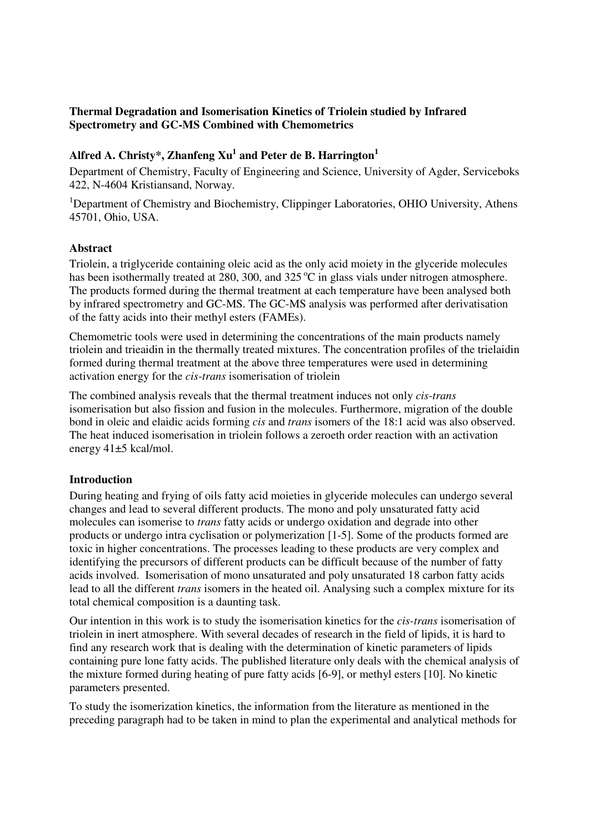## **Thermal Degradation and Isomerisation Kinetics of Triolein studied by Infrared Spectrometry and GC-MS Combined with Chemometrics**

# **Alfred A. Christy\*, Zhanfeng Xu<sup>1</sup> and Peter de B. Harrington<sup>1</sup>**

Department of Chemistry, Faculty of Engineering and Science, University of Agder, Serviceboks 422, N-4604 Kristiansand, Norway.

<sup>1</sup>Department of Chemistry and Biochemistry, Clippinger Laboratories, OHIO University, Athens 45701, Ohio, USA.

## **Abstract**

Triolein, a triglyceride containing oleic acid as the only acid moiety in the glyceride molecules has been isothermally treated at 280, 300, and 325 $^{\circ}$ C in glass vials under nitrogen atmosphere. The products formed during the thermal treatment at each temperature have been analysed both by infrared spectrometry and GC-MS. The GC-MS analysis was performed after derivatisation of the fatty acids into their methyl esters (FAMEs).

Chemometric tools were used in determining the concentrations of the main products namely triolein and trieaidin in the thermally treated mixtures. The concentration profiles of the trielaidin formed during thermal treatment at the above three temperatures were used in determining activation energy for the *cis-trans* isomerisation of triolein

The combined analysis reveals that the thermal treatment induces not only *cis-trans* isomerisation but also fission and fusion in the molecules. Furthermore, migration of the double bond in oleic and elaidic acids forming *cis* and *trans* isomers of the 18:1 acid was also observed. The heat induced isomerisation in triolein follows a zeroeth order reaction with an activation energy 41±5 kcal/mol.

## **Introduction**

During heating and frying of oils fatty acid moieties in glyceride molecules can undergo several changes and lead to several different products. The mono and poly unsaturated fatty acid molecules can isomerise to *trans* fatty acids or undergo oxidation and degrade into other products or undergo intra cyclisation or polymerization [1-5]. Some of the products formed are toxic in higher concentrations. The processes leading to these products are very complex and identifying the precursors of different products can be difficult because of the number of fatty acids involved. Isomerisation of mono unsaturated and poly unsaturated 18 carbon fatty acids lead to all the different *trans* isomers in the heated oil. Analysing such a complex mixture for its total chemical composition is a daunting task.

Our intention in this work is to study the isomerisation kinetics for the *cis-trans* isomerisation of triolein in inert atmosphere. With several decades of research in the field of lipids, it is hard to find any research work that is dealing with the determination of kinetic parameters of lipids containing pure lone fatty acids. The published literature only deals with the chemical analysis of the mixture formed during heating of pure fatty acids [6-9], or methyl esters [10]. No kinetic parameters presented.

To study the isomerization kinetics, the information from the literature as mentioned in the preceding paragraph had to be taken in mind to plan the experimental and analytical methods for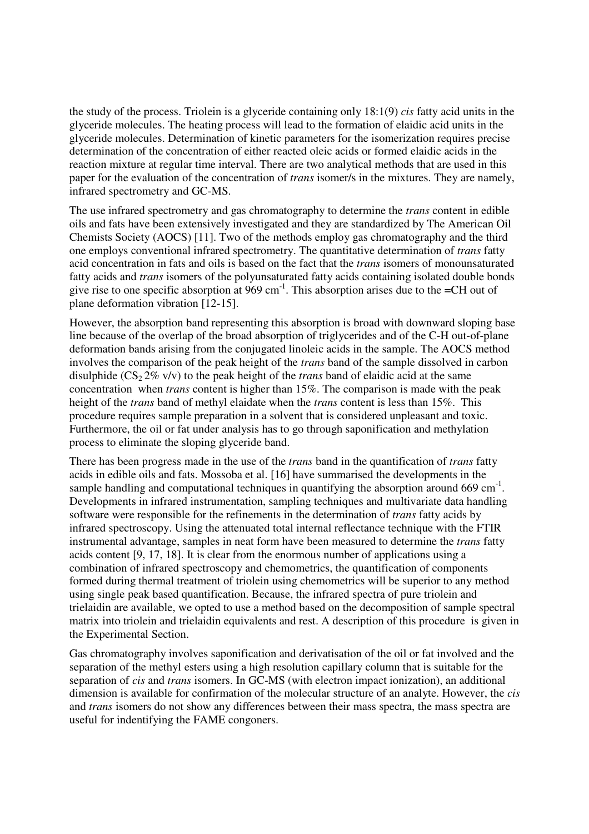the study of the process. Triolein is a glyceride containing only 18:1(9) *cis* fatty acid units in the glyceride molecules. The heating process will lead to the formation of elaidic acid units in the glyceride molecules. Determination of kinetic parameters for the isomerization requires precise determination of the concentration of either reacted oleic acids or formed elaidic acids in the reaction mixture at regular time interval. There are two analytical methods that are used in this paper for the evaluation of the concentration of *trans* isomer/s in the mixtures. They are namely, infrared spectrometry and GC-MS.

The use infrared spectrometry and gas chromatography to determine the *trans* content in edible oils and fats have been extensively investigated and they are standardized by The American Oil Chemists Society (AOCS) [11]. Two of the methods employ gas chromatography and the third one employs conventional infrared spectrometry. The quantitative determination of *trans* fatty acid concentration in fats and oils is based on the fact that the *trans* isomers of monounsaturated fatty acids and *trans* isomers of the polyunsaturated fatty acids containing isolated double bonds give rise to one specific absorption at  $969 \text{ cm}^{-1}$ . This absorption arises due to the =CH out of plane deformation vibration [12-15].

However, the absorption band representing this absorption is broad with downward sloping base line because of the overlap of the broad absorption of triglycerides and of the C-H out-of-plane deformation bands arising from the conjugated linoleic acids in the sample. The AOCS method involves the comparison of the peak height of the *trans* band of the sample dissolved in carbon disulphide ( $CS_2 2\%$  v/v) to the peak height of the *trans* band of elaidic acid at the same concentration when *trans* content is higher than 15%. The comparison is made with the peak height of the *trans* band of methyl elaidate when the *trans* content is less than 15%. This procedure requires sample preparation in a solvent that is considered unpleasant and toxic. Furthermore, the oil or fat under analysis has to go through saponification and methylation process to eliminate the sloping glyceride band.

There has been progress made in the use of the *trans* band in the quantification of *trans* fatty acids in edible oils and fats. Mossoba et al. [16] have summarised the developments in the sample handling and computational techniques in quantifying the absorption around 669 cm<sup>-1</sup>. Developments in infrared instrumentation, sampling techniques and multivariate data handling software were responsible for the refinements in the determination of *trans* fatty acids by infrared spectroscopy. Using the attenuated total internal reflectance technique with the FTIR instrumental advantage, samples in neat form have been measured to determine the *trans* fatty acids content [9, 17, 18]. It is clear from the enormous number of applications using a combination of infrared spectroscopy and chemometrics, the quantification of components formed during thermal treatment of triolein using chemometrics will be superior to any method using single peak based quantification. Because, the infrared spectra of pure triolein and trielaidin are available, we opted to use a method based on the decomposition of sample spectral matrix into triolein and trielaidin equivalents and rest. A description of this procedure is given in the Experimental Section.

Gas chromatography involves saponification and derivatisation of the oil or fat involved and the separation of the methyl esters using a high resolution capillary column that is suitable for the separation of *cis* and *trans* isomers. In GC-MS (with electron impact ionization), an additional dimension is available for confirmation of the molecular structure of an analyte. However, the *cis* and *trans* isomers do not show any differences between their mass spectra, the mass spectra are useful for indentifying the FAME congoners.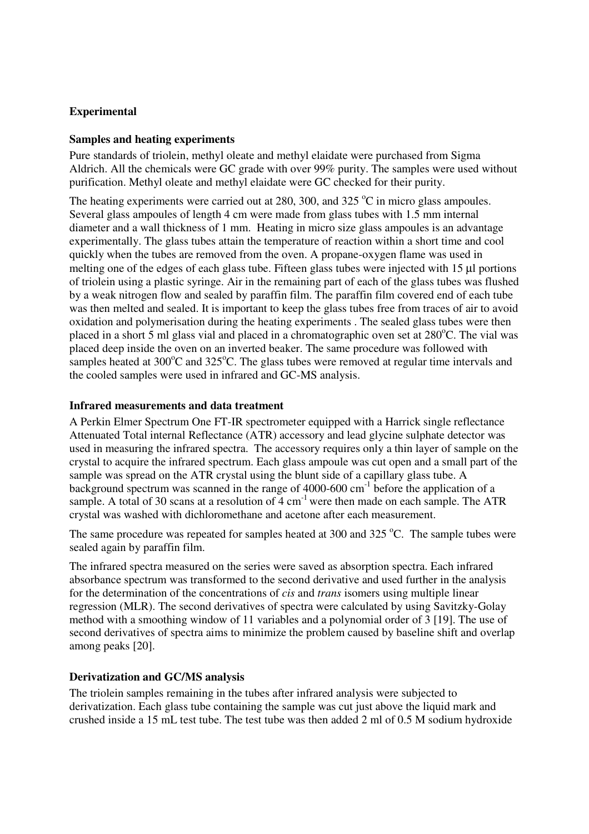## **Experimental**

## **Samples and heating experiments**

Pure standards of triolein, methyl oleate and methyl elaidate were purchased from Sigma Aldrich. All the chemicals were GC grade with over 99% purity. The samples were used without purification. Methyl oleate and methyl elaidate were GC checked for their purity.

The heating experiments were carried out at 280, 300, and 325  $^{\circ}$ C in micro glass ampoules. Several glass ampoules of length 4 cm were made from glass tubes with 1.5 mm internal diameter and a wall thickness of 1 mm. Heating in micro size glass ampoules is an advantage experimentally. The glass tubes attain the temperature of reaction within a short time and cool quickly when the tubes are removed from the oven. A propane-oxygen flame was used in melting one of the edges of each glass tube. Fifteen glass tubes were injected with 15  $\mu$ l portions of triolein using a plastic syringe. Air in the remaining part of each of the glass tubes was flushed by a weak nitrogen flow and sealed by paraffin film. The paraffin film covered end of each tube was then melted and sealed. It is important to keep the glass tubes free from traces of air to avoid oxidation and polymerisation during the heating experiments . The sealed glass tubes were then placed in a short 5 ml glass vial and placed in a chromatographic oven set at 280°C. The vial was placed deep inside the oven on an inverted beaker. The same procedure was followed with samples heated at  $300^{\circ}$ C and  $325^{\circ}$ C. The glass tubes were removed at regular time intervals and the cooled samples were used in infrared and GC-MS analysis.

## **Infrared measurements and data treatment**

A Perkin Elmer Spectrum One FT-IR spectrometer equipped with a Harrick single reflectance Attenuated Total internal Reflectance (ATR) accessory and lead glycine sulphate detector was used in measuring the infrared spectra. The accessory requires only a thin layer of sample on the crystal to acquire the infrared spectrum. Each glass ampoule was cut open and a small part of the sample was spread on the ATR crystal using the blunt side of a capillary glass tube. A background spectrum was scanned in the range of  $4000-600$  cm<sup>-1</sup> before the application of a sample. A total of 30 scans at a resolution of  $4 \text{ cm}^{-1}$  were then made on each sample. The ATR crystal was washed with dichloromethane and acetone after each measurement.

The same procedure was repeated for samples heated at 300 and 325  $^{\circ}$ C. The sample tubes were sealed again by paraffin film.

The infrared spectra measured on the series were saved as absorption spectra. Each infrared absorbance spectrum was transformed to the second derivative and used further in the analysis for the determination of the concentrations of *cis* and *trans* isomers using multiple linear regression (MLR). The second derivatives of spectra were calculated by using Savitzky-Golay method with a smoothing window of 11 variables and a polynomial order of 3 [19]. The use of second derivatives of spectra aims to minimize the problem caused by baseline shift and overlap among peaks [20].

#### **Derivatization and GC/MS analysis**

The triolein samples remaining in the tubes after infrared analysis were subjected to derivatization. Each glass tube containing the sample was cut just above the liquid mark and crushed inside a 15 mL test tube. The test tube was then added 2 ml of 0.5 M sodium hydroxide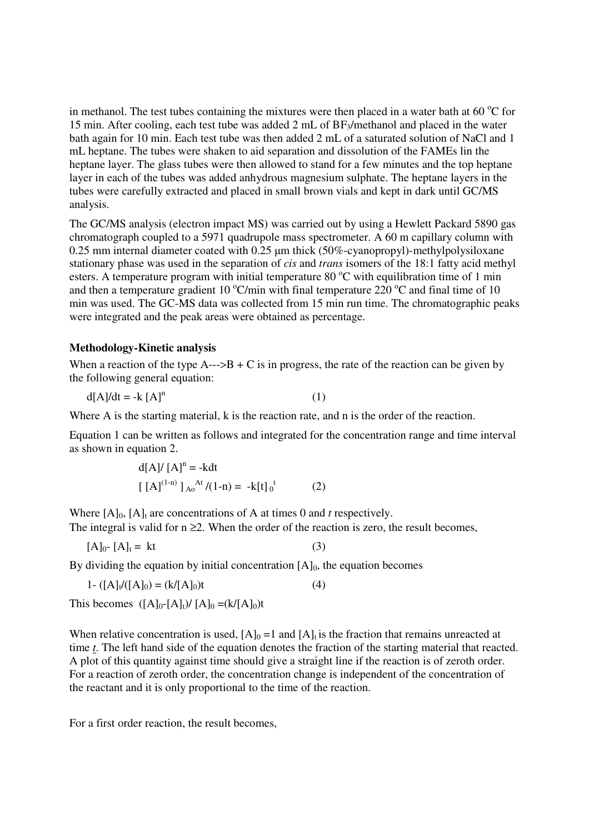in methanol. The test tubes containing the mixtures were then placed in a water bath at 60  $\degree$ C for 15 min. After cooling, each test tube was added 2 mL of BF<sub>3</sub>/methanol and placed in the water bath again for 10 min. Each test tube was then added 2 mL of a saturated solution of NaCl and 1 mL heptane. The tubes were shaken to aid separation and dissolution of the FAMEs lin the heptane layer. The glass tubes were then allowed to stand for a few minutes and the top heptane layer in each of the tubes was added anhydrous magnesium sulphate. The heptane layers in the tubes were carefully extracted and placed in small brown vials and kept in dark until GC/MS analysis.

The GC/MS analysis (electron impact MS) was carried out by using a Hewlett Packard 5890 gas chromatograph coupled to a 5971 quadrupole mass spectrometer. A 60 m capillary column with 0.25 mm internal diameter coated with 0.25 µm thick (50%-cyanopropyl)-methylpolysiloxane stationary phase was used in the separation of *cis* and *trans* isomers of the 18:1 fatty acid methyl esters. A temperature program with initial temperature 80  $\degree$ C with equilibration time of 1 min and then a temperature gradient 10  $\mathrm{C/min}$  with final temperature 220  $\mathrm{C}$  and final time of 10 min was used. The GC-MS data was collected from 15 min run time. The chromatographic peaks were integrated and the peak areas were obtained as percentage.

## **Methodology-Kinetic analysis**

When a reaction of the type  $A \rightarrow B + C$  is in progress, the rate of the reaction can be given by the following general equation:

$$
d[A]/dt = -k [A]n
$$
 (1)

Where A is the starting material, k is the reaction rate, and n is the order of the reaction.

Equation 1 can be written as follows and integrated for the concentration range and time interval as shown in equation 2.

$$
d[A]/ [A]n = -kdt
$$
  
[ [A]<sup>(1-n)</sup> ]<sub>Ao</sub><sup>At</sup>/(1-n) = -k[t]<sub>0</sub><sup>t</sup> (2)

Where  $[A]_0$ ,  $[A]_t$  are concentrations of A at times 0 and *t* respectively. The integral is valid for  $n \geq 2$ . When the order of the reaction is zero, the result becomes,

$$
[A]_0 - [A]_t = kt \tag{3}
$$

By dividing the equation by initial concentration  $[A]_0$ , the equation becomes

$$
1 - ([A]_t/([A]_0) = (k/[A]_0)t
$$
\n(4)

This becomes  $([A]_0-[A]_t)/[A]_0 = (k/[A]_0)t$ 

When relative concentration is used,  $[A]_0 = 1$  and  $[A]_t$  is the fraction that remains unreacted at time *t*. The left hand side of the equation denotes the fraction of the starting material that reacted. A plot of this quantity against time should give a straight line if the reaction is of zeroth order. For a reaction of zeroth order, the concentration change is independent of the concentration of the reactant and it is only proportional to the time of the reaction.

For a first order reaction, the result becomes,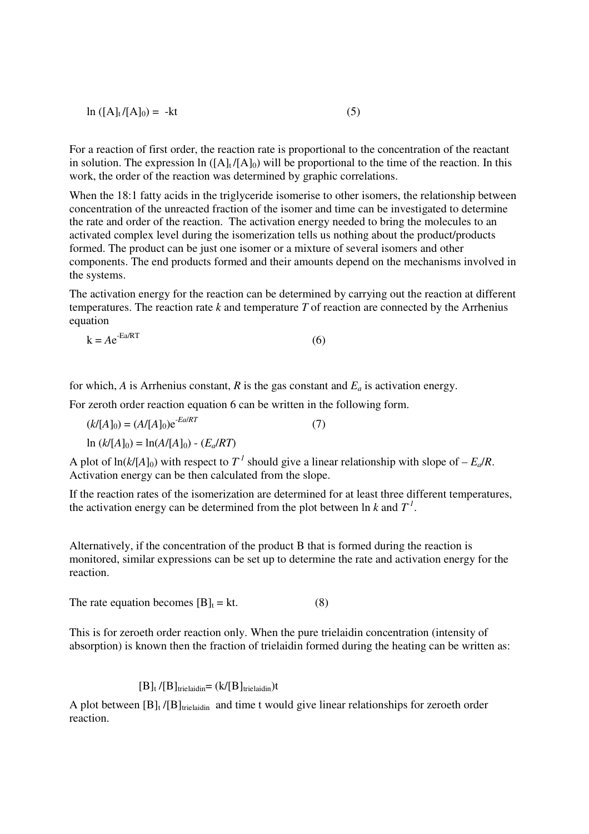$$
\ln\left(\left[A\right]_t / \left[A\right]_0\right) = -kt\tag{5}
$$

For a reaction of first order, the reaction rate is proportional to the concentration of the reactant in solution. The expression ln  $([A]_t/[A]_0)$  will be proportional to the time of the reaction. In this work, the order of the reaction was determined by graphic correlations.

When the 18:1 fatty acids in the triglyceride isomerise to other isomers, the relationship between concentration of the unreacted fraction of the isomer and time can be investigated to determine the rate and order of the reaction. The activation energy needed to bring the molecules to an activated complex level during the isomerization tells us nothing about the product/products formed. The product can be just one isomer or a mixture of several isomers and other components. The end products formed and their amounts depend on the mechanisms involved in the systems.

The activation energy for the reaction can be determined by carrying out the reaction at different temperatures. The reaction rate *k* and temperature *T* of reaction are connected by the Arrhenius equation

$$
k = Ae^{-Ea/RT}
$$
 (6)

for which, *A* is Arrhenius constant, *R* is the gas constant and  $E_a$  is activation energy.

For zeroth order reaction equation 6 can be written in the following form.

 $(k/[A]_0) = (A/[A]_0)e^{-E a/RT}$  (7)  $\ln (k / [A]_0) = \ln(A / [A]_0) - (E_a / R T)$ 

A plot of  $\ln(k/[A]_0)$  with respect to  $T^1$  should give a linear relationship with slope of  $-E_a/R$ . Activation energy can be then calculated from the slope.

If the reaction rates of the isomerization are determined for at least three different temperatures, the activation energy can be determined from the plot between  $\ln k$  and  $T<sup>1</sup>$ .

Alternatively, if the concentration of the product B that is formed during the reaction is monitored, similar expressions can be set up to determine the rate and activation energy for the reaction.

The rate equation becomes  $[B]_t = kt.$  (8)

This is for zeroeth order reaction only. When the pure trielaidin concentration (intensity of absorption) is known then the fraction of trielaidin formed during the heating can be written as:

#### $[B]_t / [B]$ trielaidin= (k/[B]trielaidin)t

A plot between  $[B]_t / [B]_{\text{trielaidin}}$  and time t would give linear relationships for zeroeth order reaction.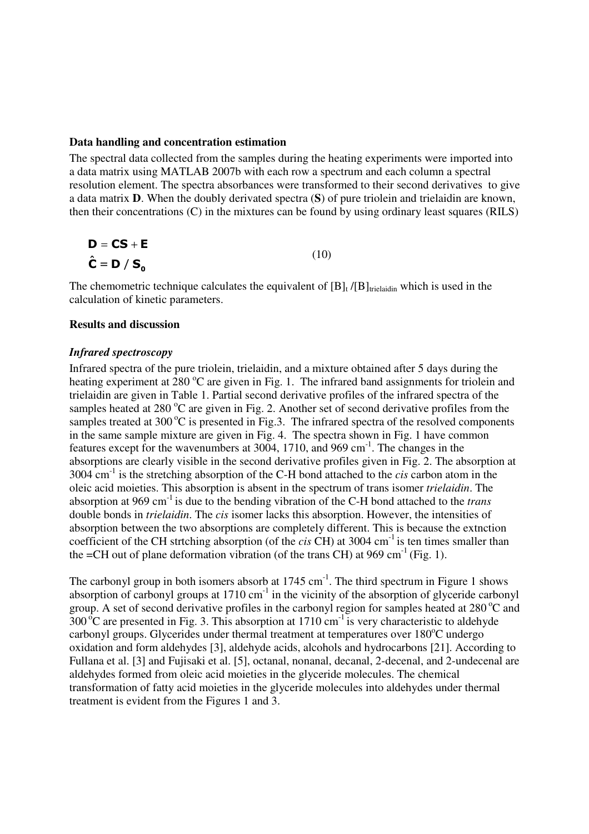#### **Data handling and concentration estimation**

The spectral data collected from the samples during the heating experiments were imported into a data matrix using MATLAB 2007b with each row a spectrum and each column a spectral resolution element. The spectra absorbances were transformed to their second derivatives to give a data matrix **D**. When the doubly derivated spectra (**S**) of pure triolein and trielaidin are known, then their concentrations (C) in the mixtures can be found by using ordinary least squares (RILS)

$$
\mathbf{D} = \mathbf{CS} + \mathbf{E}
$$
  

$$
\hat{\mathbf{C}} = \mathbf{D} / \mathbf{S_o}
$$
 (10)

The chemometric technique calculates the equivalent of  $[B]_t / [B]$ <sub>trielaidin</sub> which is used in the calculation of kinetic parameters.

#### **Results and discussion**

#### *Infrared spectroscopy*

Infrared spectra of the pure triolein, trielaidin, and a mixture obtained after 5 days during the heating experiment at 280  $^{\circ}$ C are given in Fig. 1. The infrared band assignments for triolein and trielaidin are given in Table 1. Partial second derivative profiles of the infrared spectra of the samples heated at 280  $^{\circ}$ C are given in Fig. 2. Another set of second derivative profiles from the samples treated at 300 $^{\circ}$ C is presented in Fig.3. The infrared spectra of the resolved components in the same sample mixture are given in Fig. 4. The spectra shown in Fig. 1 have common features except for the wavenumbers at 3004, 1710, and 969 cm-1. The changes in the absorptions are clearly visible in the second derivative profiles given in Fig. 2. The absorption at 3004 cm-1 is the stretching absorption of the C-H bond attached to the *cis* carbon atom in the oleic acid moieties. This absorption is absent in the spectrum of trans isomer *trielaidin*. The absorption at 969 cm-1 is due to the bending vibration of the C-H bond attached to the *trans* double bonds in *trielaidin*. The *cis* isomer lacks this absorption. However, the intensities of absorption between the two absorptions are completely different. This is because the extnction coefficient of the CH strtching absorption (of the *cis* CH) at 3004 cm<sup>-1</sup> is ten times smaller than the  $=CH$  out of plane deformation vibration (of the trans CH) at 969 cm<sup>-1</sup> (Fig. 1).

The carbonyl group in both isomers absorb at  $1745 \text{ cm}^{-1}$ . The third spectrum in Figure 1 shows absorption of carbonyl groups at  $1710 \text{ cm}^{-1}$  in the vicinity of the absorption of glyceride carbonyl group. A set of second derivative profiles in the carbonyl region for samples heated at  $280^{\circ}$ C and  $300^{\circ}$ C are presented in Fig. 3. This absorption at 1710 cm<sup>-1</sup> is very characteristic to aldehyde carbonyl groups. Glycerides under thermal treatment at temperatures over  $180^{\circ}$ C undergo oxidation and form aldehydes [3], aldehyde acids, alcohols and hydrocarbons [21]. According to Fullana et al. [3] and Fujisaki et al. [5], octanal, nonanal, decanal, 2-decenal, and 2-undecenal are aldehydes formed from oleic acid moieties in the glyceride molecules. The chemical transformation of fatty acid moieties in the glyceride molecules into aldehydes under thermal treatment is evident from the Figures 1 and 3.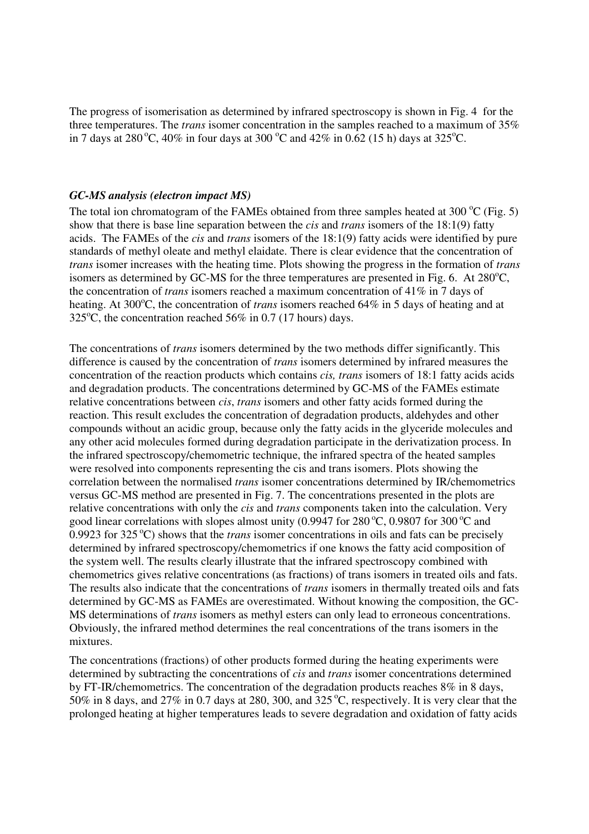The progress of isomerisation as determined by infrared spectroscopy is shown in Fig. 4 for the three temperatures. The *trans* isomer concentration in the samples reached to a maximum of 35% in 7 days at 280 °C, 40% in four days at 300 °C and 42% in 0.62 (15 h) days at 325 °C.

#### *GC-MS analysis (electron impact MS)*

The total ion chromatogram of the FAMEs obtained from three samples heated at 300  $\degree$ C (Fig. 5) show that there is base line separation between the *cis* and *trans* isomers of the 18:1(9) fatty acids. The FAMEs of the *cis* and *trans* isomers of the 18:1(9) fatty acids were identified by pure standards of methyl oleate and methyl elaidate. There is clear evidence that the concentration of *trans* isomer increases with the heating time. Plots showing the progress in the formation of *trans* isomers as determined by GC-MS for the three temperatures are presented in Fig. 6. At  $280^{\circ}$ C, the concentration of *trans* isomers reached a maximum concentration of 41% in 7 days of heating. At 300<sup>o</sup>C, the concentration of *trans* isomers reached 64% in 5 days of heating and at 325 $^{\circ}$ C, the concentration reached 56% in 0.7 (17 hours) days.

The concentrations of *trans* isomers determined by the two methods differ significantly. This difference is caused by the concentration of *trans* isomers determined by infrared measures the concentration of the reaction products which contains *cis, trans* isomers of 18:1 fatty acids acids and degradation products. The concentrations determined by GC-MS of the FAMEs estimate relative concentrations between *cis*, *trans* isomers and other fatty acids formed during the reaction. This result excludes the concentration of degradation products, aldehydes and other compounds without an acidic group, because only the fatty acids in the glyceride molecules and any other acid molecules formed during degradation participate in the derivatization process. In the infrared spectroscopy/chemometric technique, the infrared spectra of the heated samples were resolved into components representing the cis and trans isomers. Plots showing the correlation between the normalised *trans* isomer concentrations determined by IR/chemometrics versus GC-MS method are presented in Fig. 7. The concentrations presented in the plots are relative concentrations with only the *cis* and *trans* components taken into the calculation. Very good linear correlations with slopes almost unity (0.9947 for 280 $^{\circ}$ C, 0.9807 for 300 $^{\circ}$ C and 0.9923 for  $325^{\circ}$ C) shows that the *trans* isomer concentrations in oils and fats can be precisely determined by infrared spectroscopy/chemometrics if one knows the fatty acid composition of the system well. The results clearly illustrate that the infrared spectroscopy combined with chemometrics gives relative concentrations (as fractions) of trans isomers in treated oils and fats. The results also indicate that the concentrations of *trans* isomers in thermally treated oils and fats determined by GC-MS as FAMEs are overestimated. Without knowing the composition, the GC-MS determinations of *trans* isomers as methyl esters can only lead to erroneous concentrations. Obviously, the infrared method determines the real concentrations of the trans isomers in the mixtures.

The concentrations (fractions) of other products formed during the heating experiments were determined by subtracting the concentrations of *cis* and *trans* isomer concentrations determined by FT-IR/chemometrics. The concentration of the degradation products reaches 8% in 8 days, 50% in 8 days, and 27% in 0.7 days at 280, 300, and 325  $^{\circ}$ C, respectively. It is very clear that the prolonged heating at higher temperatures leads to severe degradation and oxidation of fatty acids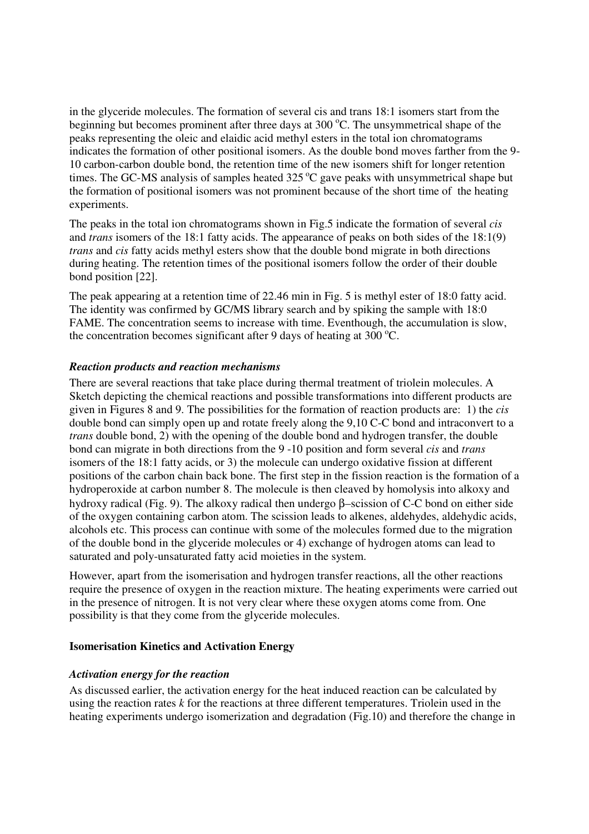in the glyceride molecules. The formation of several cis and trans 18:1 isomers start from the beginning but becomes prominent after three days at  $300^{\circ}$ C. The unsymmetrical shape of the peaks representing the oleic and elaidic acid methyl esters in the total ion chromatograms indicates the formation of other positional isomers. As the double bond moves farther from the 9- 10 carbon-carbon double bond, the retention time of the new isomers shift for longer retention times. The GC-MS analysis of samples heated  $325\,^{\circ}\text{C}$  gave peaks with unsymmetrical shape but the formation of positional isomers was not prominent because of the short time of the heating experiments.

The peaks in the total ion chromatograms shown in Fig.5 indicate the formation of several *cis* and *trans* isomers of the 18:1 fatty acids. The appearance of peaks on both sides of the 18:1(9) *trans* and *cis* fatty acids methyl esters show that the double bond migrate in both directions during heating. The retention times of the positional isomers follow the order of their double bond position [22].

The peak appearing at a retention time of 22.46 min in Fig. 5 is methyl ester of 18:0 fatty acid. The identity was confirmed by GC/MS library search and by spiking the sample with 18:0 FAME. The concentration seems to increase with time. Eventhough, the accumulation is slow, the concentration becomes significant after 9 days of heating at 300  $^{\circ}$ C.

## *Reaction products and reaction mechanisms*

There are several reactions that take place during thermal treatment of triolein molecules. A Sketch depicting the chemical reactions and possible transformations into different products are given in Figures 8 and 9. The possibilities for the formation of reaction products are: 1) the *cis* double bond can simply open up and rotate freely along the 9,10 C-C bond and intraconvert to a *trans* double bond, 2) with the opening of the double bond and hydrogen transfer, the double bond can migrate in both directions from the 9 -10 position and form several *cis* and *trans* isomers of the 18:1 fatty acids, or 3) the molecule can undergo oxidative fission at different positions of the carbon chain back bone. The first step in the fission reaction is the formation of a hydroperoxide at carbon number 8. The molecule is then cleaved by homolysis into alkoxy and hydroxy radical (Fig. 9). The alkoxy radical then undergo β–scission of C-C bond on either side of the oxygen containing carbon atom. The scission leads to alkenes, aldehydes, aldehydic acids, alcohols etc. This process can continue with some of the molecules formed due to the migration of the double bond in the glyceride molecules or 4) exchange of hydrogen atoms can lead to saturated and poly-unsaturated fatty acid moieties in the system.

However, apart from the isomerisation and hydrogen transfer reactions, all the other reactions require the presence of oxygen in the reaction mixture. The heating experiments were carried out in the presence of nitrogen. It is not very clear where these oxygen atoms come from. One possibility is that they come from the glyceride molecules.

## **Isomerisation Kinetics and Activation Energy**

## *Activation energy for the reaction*

As discussed earlier, the activation energy for the heat induced reaction can be calculated by using the reaction rates *k* for the reactions at three different temperatures. Triolein used in the heating experiments undergo isomerization and degradation (Fig.10) and therefore the change in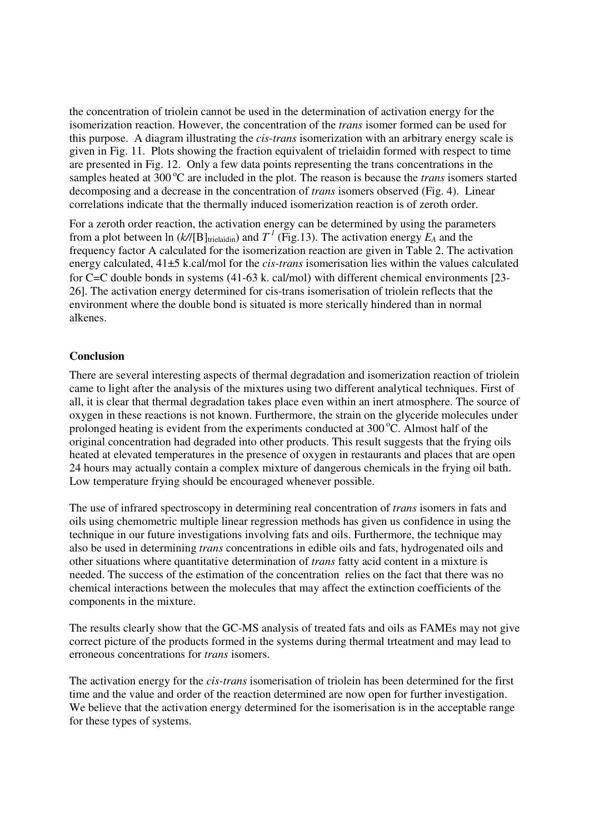the concentration of triolein cannot be used in the determination of activation energy for the isomerization reaction. However, the concentration of the *trans* isomer formed can be used for this purpose. A diagram illustrating the *cis-trans* isomerization with an arbitrary energy scale is given in Fig. 11. Plots showing the fraction equivalent of trielaidin formed with respect to time are presented in Fig. 12. Only a few data points representing the trans concentrations in the samples heated at 300 °C are included in the plot. The reason is because the *trans* isomers started decomposing and a decrease in the concentration of *trans* isomers observed (Fig. 4). Linear correlations indicate that the thermally induced isomerization reaction is of zeroth order.

For a zeroth order reaction, the activation energy can be determined by using the parameters from a plot between  $\ln (k/[\text{B}]_{\text{trielaidin}})$  and  $T^I$  (Fig.13). The activation energy  $E_A$  and the frequency factor A calculated for the isomerization reaction are given in Table 2. The activation energy calculated, 41±5 k.cal/mol for the *cis-trans* isomerisation lies within the values calculated for C=C double bonds in systems (41-63 k. cal/mol) with different chemical environments [23- 26]. The activation energy determined for cis-trans isomerisation of triolein reflects that the environment where the double bond is situated is more sterically hindered than in normal alkenes.

## **Conclusion**

There are several interesting aspects of thermal degradation and isomerization reaction of triolein came to light after the analysis of the mixtures using two different analytical techniques. First of all, it is clear that thermal degradation takes place even within an inert atmosphere. The source of oxygen in these reactions is not known. Furthermore, the strain on the glyceride molecules under prolonged heating is evident from the experiments conducted at  $300^{\circ}$ C. Almost half of the original concentration had degraded into other products. This result suggests that the frying oils heated at elevated temperatures in the presence of oxygen in restaurants and places that are open 24 hours may actually contain a complex mixture of dangerous chemicals in the frying oil bath. Low temperature frying should be encouraged whenever possible.

The use of infrared spectroscopy in determining real concentration of *trans* isomers in fats and oils using chemometric multiple linear regression methods has given us confidence in using the technique in our future investigations involving fats and oils. Furthermore, the technique may also be used in determining *trans* concentrations in edible oils and fats, hydrogenated oils and other situations where quantitative determination of *trans* fatty acid content in a mixture is needed. The success of the estimation of the concentration relies on the fact that there was no chemical interactions between the molecules that may affect the extinction coefficients of the components in the mixture.

The results clearly show that the GC-MS analysis of treated fats and oils as FAMEs may not give correct picture of the products formed in the systems during thermal trteatment and may lead to erroneous concentrations for *trans* isomers.

The activation energy for the *cis-trans* isomerisation of triolein has been determined for the first time and the value and order of the reaction determined are now open for further investigation. We believe that the activation energy determined for the isomerisation is in the acceptable range for these types of systems.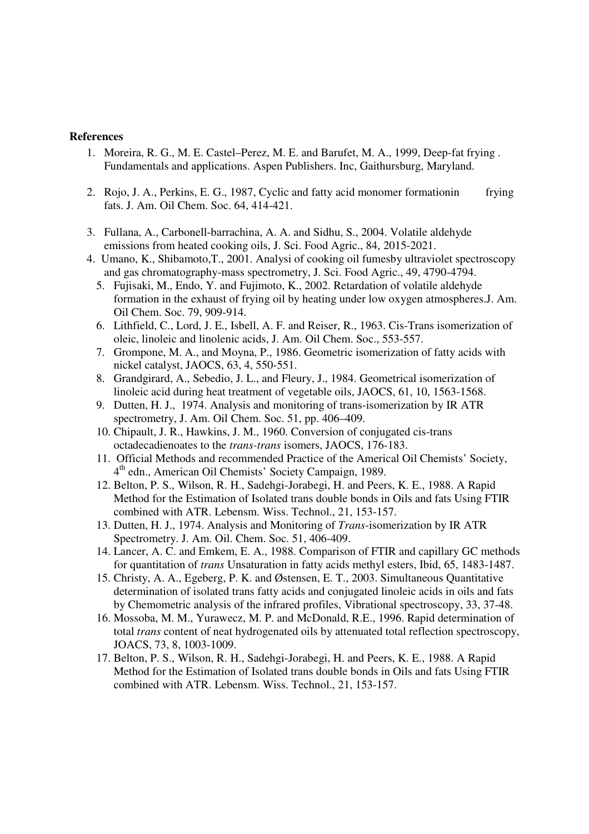#### **References**

- 1. Moreira, R. G., M. E. Castel–Perez, M. E. and Barufet, M. A., 1999, Deep-fat frying . Fundamentals and applications. Aspen Publishers. Inc, Gaithursburg, Maryland.
- 2. Rojo, J. A., Perkins, E. G., 1987, Cyclic and fatty acid monomer formationin frying fats. J. Am. Oil Chem. Soc. 64, 414-421.
- 3. Fullana, A., Carbonell-barrachina, A. A. and Sidhu, S., 2004. Volatile aldehyde emissions from heated cooking oils, J. Sci. Food Agric., 84, 2015-2021.
- 4. Umano, K., Shibamoto,T., 2001. Analysi of cooking oil fumesby ultraviolet spectroscopy and gas chromatography-mass spectrometry, J. Sci. Food Agric., 49, 4790-4794.
	- 5. Fujisaki, M., Endo, Y. and Fujimoto, K., 2002. Retardation of volatile aldehyde formation in the exhaust of frying oil by heating under low oxygen atmospheres.J. Am. Oil Chem. Soc. 79, 909-914.
	- 6. Lithfield, C., Lord, J. E., Isbell, A. F. and Reiser, R., 1963. Cis-Trans isomerization of oleic, linoleic and linolenic acids, J. Am. Oil Chem. Soc., 553-557.
	- 7. Grompone, M. A., and Moyna, P., 1986. Geometric isomerization of fatty acids with nickel catalyst, JAOCS, 63, 4, 550-551.
	- 8. Grandgirard, A., Sebedio, J. L., and Fleury, J., 1984. Geometrical isomerization of linoleic acid during heat treatment of vegetable oils, JAOCS, 61, 10, 1563-1568.
	- 9. Dutten, H. J., 1974. Analysis and monitoring of trans-isomerization by IR ATR spectrometry, J. Am. Oil Chem. Soc. 51, pp. 406–409.
	- 10. Chipault, J. R., Hawkins, J. M., 1960. Conversion of conjugated cis-trans octadecadienoates to the *trans-trans* isomers, JAOCS, 176-183.
	- 11. Official Methods and recommended Practice of the Americal Oil Chemists' Society, 4<sup>th</sup> edn., American Oil Chemists' Society Campaign, 1989.
	- 12. Belton, P. S., Wilson, R. H., Sadehgi-Jorabegi, H. and Peers, K. E., 1988. A Rapid Method for the Estimation of Isolated trans double bonds in Oils and fats Using FTIR combined with ATR. Lebensm. Wiss. Technol., 21, 153-157.
	- 13. Dutten, H. J., 1974. Analysis and Monitoring of *Trans*-isomerization by IR ATR Spectrometry. J. Am. Oil. Chem. Soc. 51, 406-409.
	- 14. Lancer, A. C. and Emkem, E. A., 1988. Comparison of FTIR and capillary GC methods for quantitation of *trans* Unsaturation in fatty acids methyl esters, Ibid, 65, 1483-1487.
	- 15. Christy, A. A., Egeberg, P. K. and Østensen, E. T., 2003. Simultaneous Quantitative determination of isolated trans fatty acids and conjugated linoleic acids in oils and fats by Chemometric analysis of the infrared profiles, Vibrational spectroscopy, 33, 37-48.
	- 16. Mossoba, M. M., Yurawecz, M. P. and McDonald, R.E., 1996. Rapid determination of total *trans* content of neat hydrogenated oils by attenuated total reflection spectroscopy, JOACS, 73, 8, 1003-1009.
	- 17. Belton, P. S., Wilson, R. H., Sadehgi-Jorabegi, H. and Peers, K. E., 1988. A Rapid Method for the Estimation of Isolated trans double bonds in Oils and fats Using FTIR combined with ATR. Lebensm. Wiss. Technol., 21, 153-157.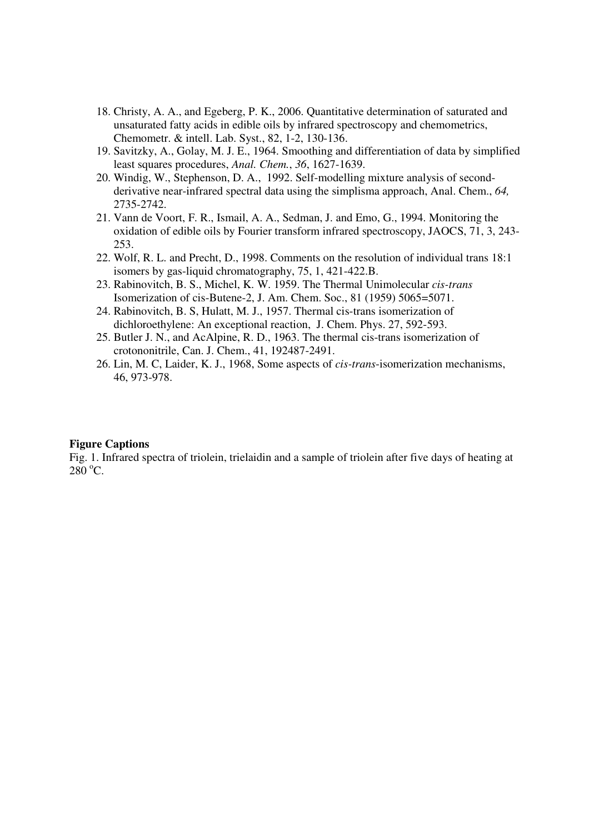- 18. Christy, A. A., and Egeberg, P. K., 2006. Quantitative determination of saturated and unsaturated fatty acids in edible oils by infrared spectroscopy and chemometrics, Chemometr. & intell. Lab. Syst., 82, 1-2, 130-136.
- 19. Savitzky, A., Golay, M. J. E., 1964. Smoothing and differentiation of data by simplified least squares procedures, *Anal. Chem.*, *36*, 1627-1639.
- 20. Windig, W., Stephenson, D. A., 1992. Self-modelling mixture analysis of secondderivative near-infrared spectral data using the simplisma approach, Anal. Chem., *64,*  2735-2742.
- 21. Vann de Voort, F. R., Ismail, A. A., Sedman, J. and Emo, G., 1994. Monitoring the oxidation of edible oils by Fourier transform infrared spectroscopy, JAOCS, 71, 3, 243- 253.
- 22. Wolf, R. L. and Precht, D., 1998. Comments on the resolution of individual trans 18:1 isomers by gas-liquid chromatography, 75, 1, 421-422.B.
- 23. Rabinovitch, B. S., Michel, K. W. 1959. The Thermal Unimolecular *cis-trans* Isomerization of cis-Butene-2, J. Am. Chem. Soc., 81 (1959) 5065=5071.
- 24. Rabinovitch, B. S, Hulatt, M. J., 1957. Thermal cis-trans isomerization of dichloroethylene: An exceptional reaction, J. Chem. Phys. 27, 592-593.
- 25. Butler J. N., and AcAlpine, R. D., 1963. The thermal cis-trans isomerization of crotononitrile, Can. J. Chem., 41, 192487-2491.
- 26. Lin, M. C, Laider, K. J., 1968, Some aspects of *cis-trans*-isomerization mechanisms, 46, 973-978.

#### **Figure Captions**

Fig. 1. Infrared spectra of triolein, trielaidin and a sample of triolein after five days of heating at  $280 °C$ .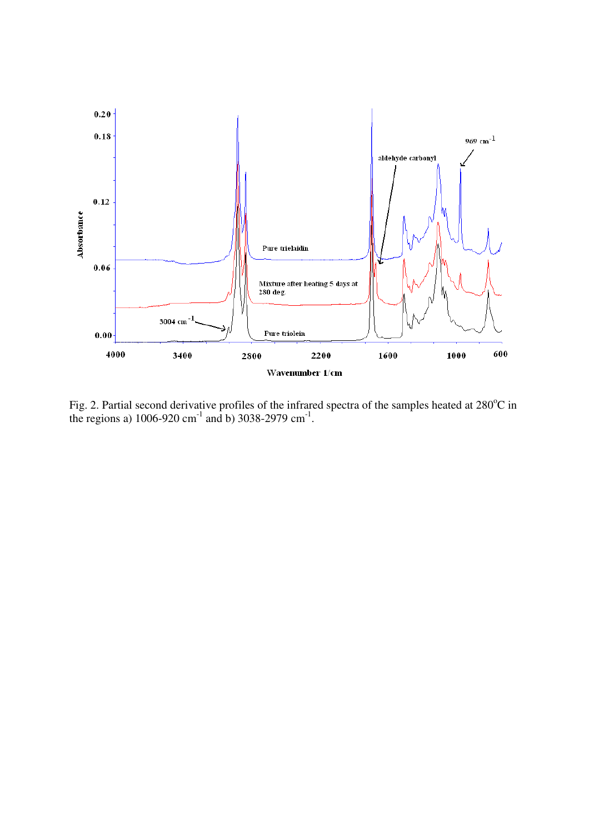

Fig. 2. Partial second derivative profiles of the infrared spectra of the samples heated at  $280^{\circ}$ C in the regions a)  $1006 - 920$  cm<sup>-1</sup> and b)  $3038 - 2979$  cm<sup>-1</sup>.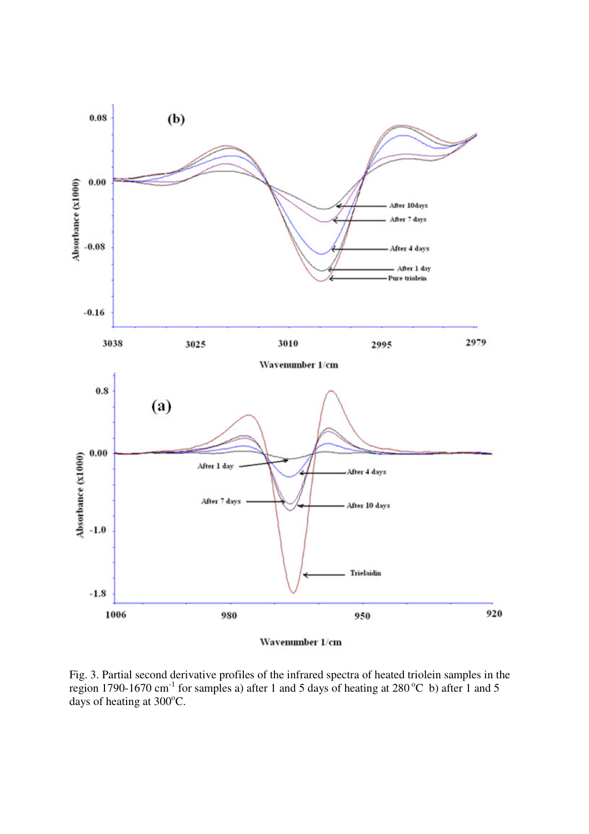

Wavenumber 1/cm

Fig. 3. Partial second derivative profiles of the infrared spectra of heated triolein samples in the region 1790-1670 cm<sup>-1</sup> for samples a) after 1 and 5 days of heating at 280 °C b) after 1 and 5 days of heating at  $300^{\circ}$ C.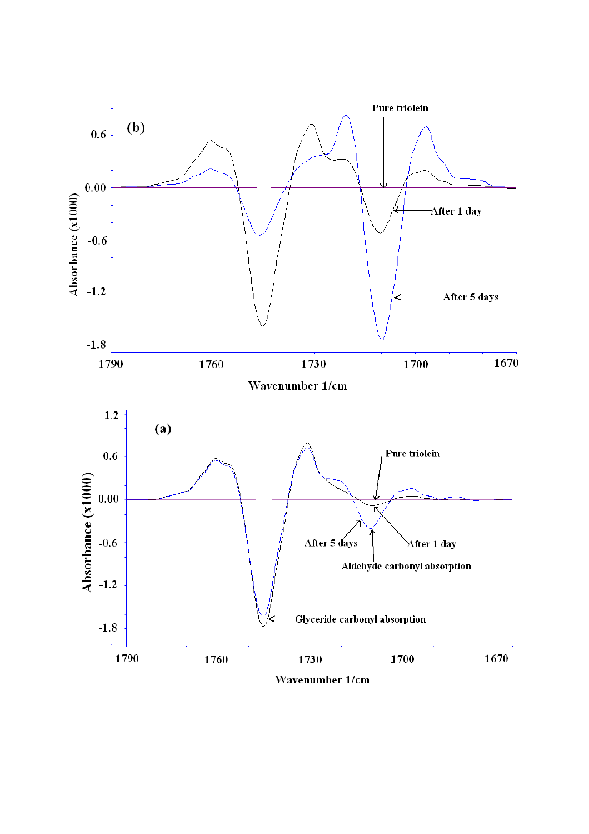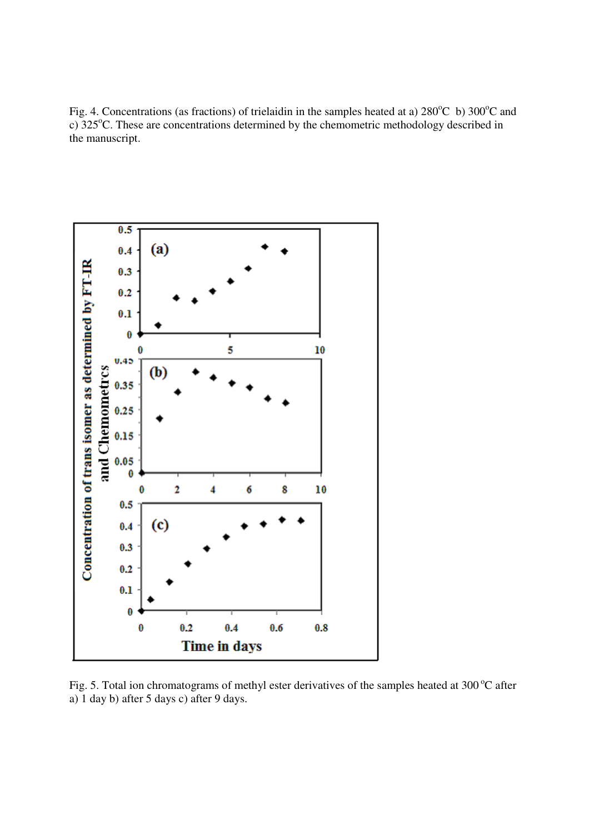Fig. 4. Concentrations (as fractions) of trielaidin in the samples heated at a)  $280^{\circ}$ C b)  $300^{\circ}$ C and c) 325<sup>o</sup>C. These are concentrations determined by the chemometric methodology described in the manuscript.



Fig. 5. Total ion chromatograms of methyl ester derivatives of the samples heated at  $300^{\circ}$ C after a) 1 day b) after 5 days c) after 9 days.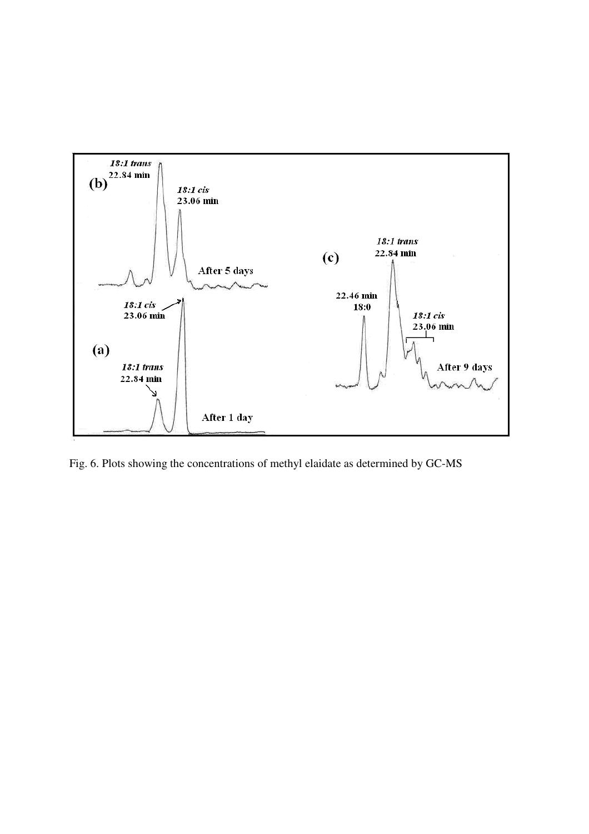

Fig. 6. Plots showing the concentrations of methyl elaidate as determined by GC-MS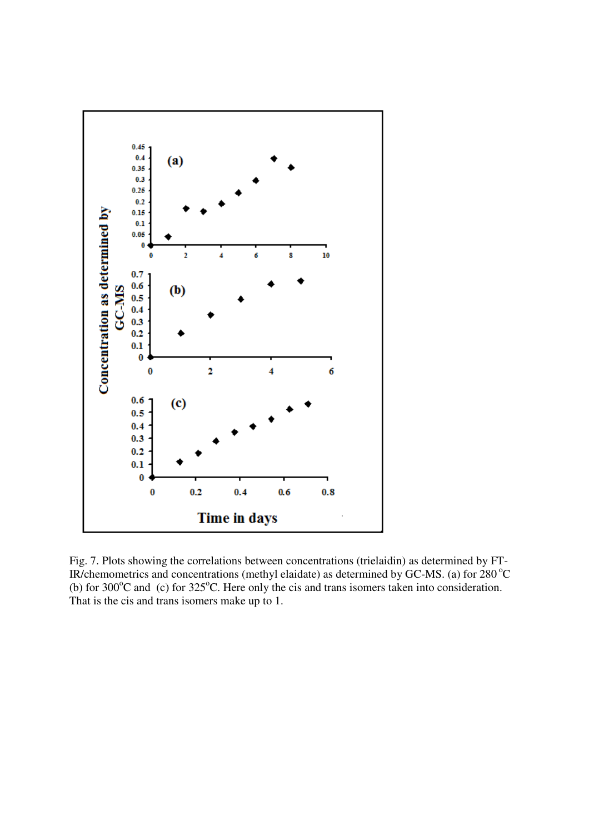

Fig. 7. Plots showing the correlations between concentrations (trielaidin) as determined by FT-IR/chemometrics and concentrations (methyl elaidate) as determined by GC-MS. (a) for  $280^{\circ}$ C (b) for  $300^{\circ}$ C and (c) for  $325^{\circ}$ C. Here only the cis and trans isomers taken into consideration. That is the cis and trans isomers make up to 1.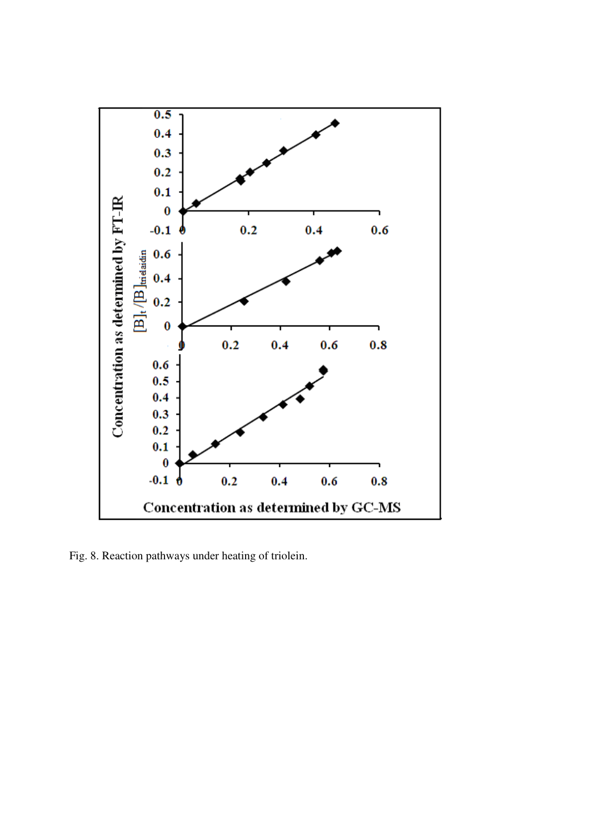

Fig. 8. Reaction pathways under heating of triolein.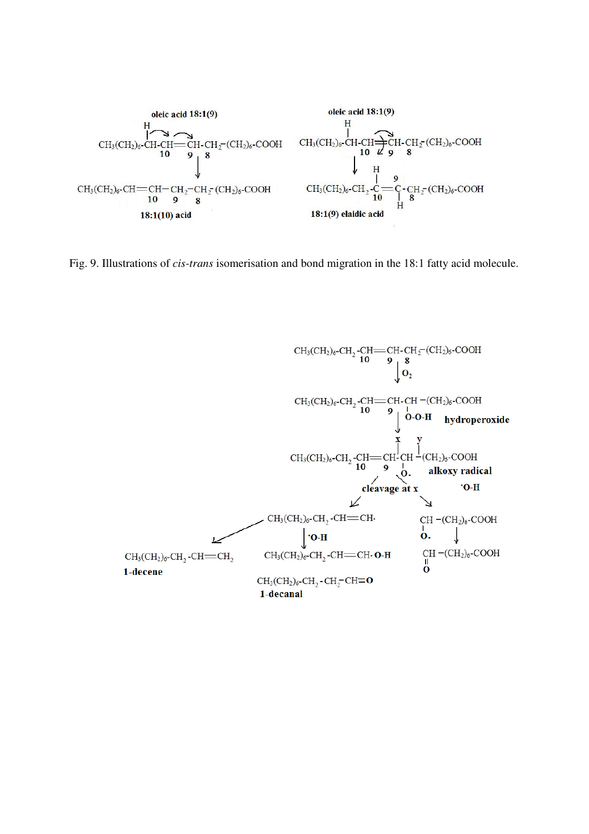

Fig. 9. Illustrations of *cis-trans* isomerisation and bond migration in the 18:1 fatty acid molecule.

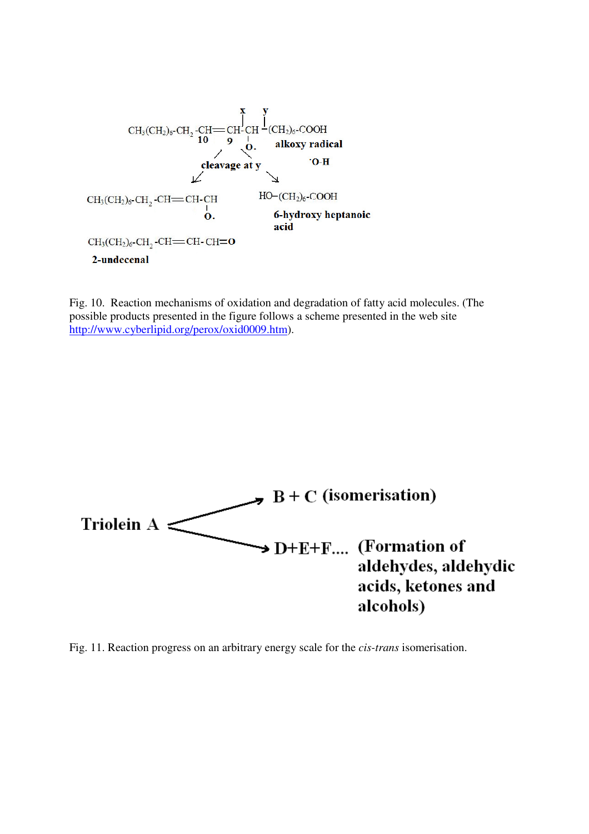

Fig. 10. Reaction mechanisms of oxidation and degradation of fatty acid molecules. (The possible products presented in the figure follows a scheme presented in the web site http://www.cyberlipid.org/perox/oxid0009.htm).



Fig. 11. Reaction progress on an arbitrary energy scale for the *cis-trans* isomerisation.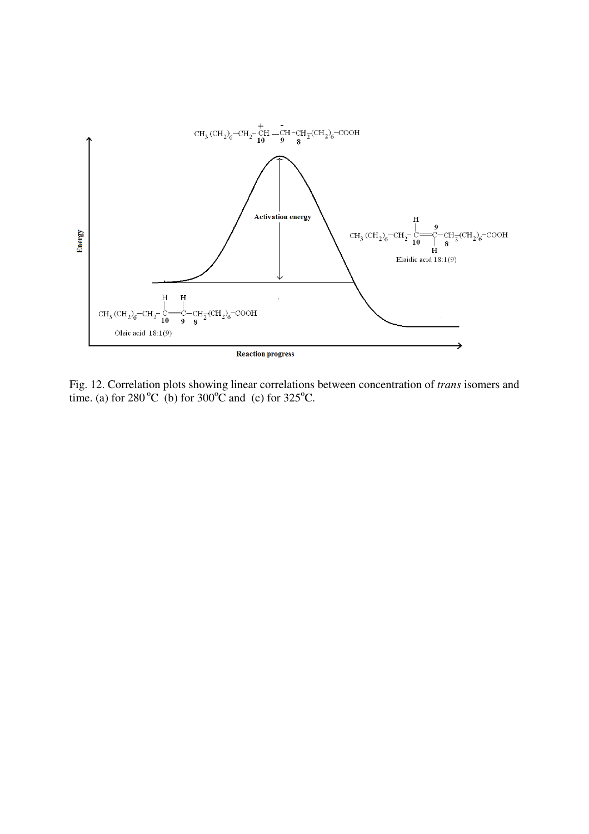

Fig. 12. Correlation plots showing linear correlations between concentration of *trans* isomers and time. (a) for  $280^{\circ}$ C (b) for  $300^{\circ}$ C and (c) for  $325^{\circ}$ C.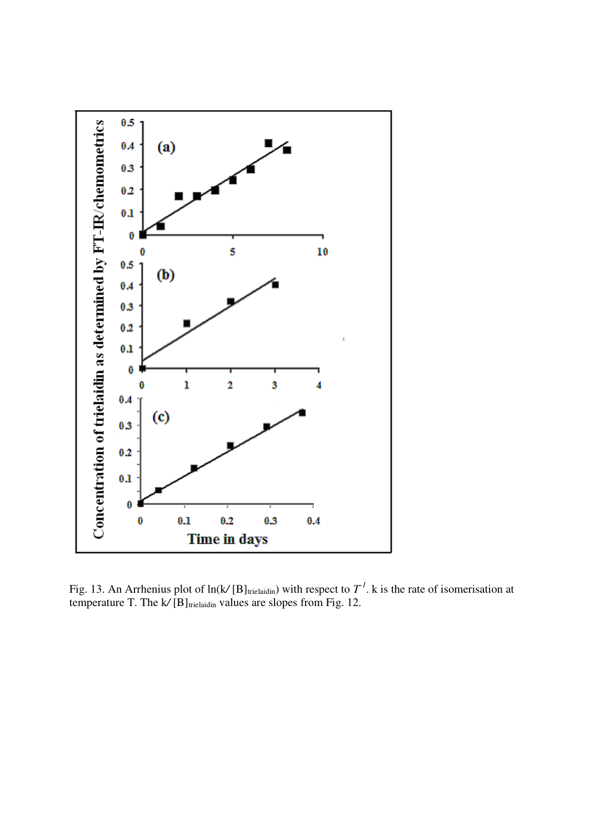

Fig. 13. An Arrhenius plot of  $ln(k/[B]_{trielaidin})$  with respect to  $T<sup>1</sup>$ . k is the rate of isomerisation at temperature T. The k/[B]<sub>trielaidin</sub> values are slopes from Fig. 12.